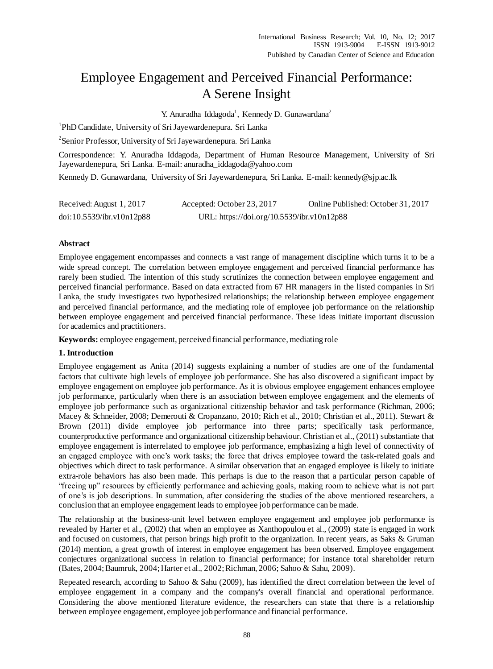# Employee Engagement and Perceived Financial Performance: A Serene Insight

Y. Anuradha Iddagoda<sup>1</sup>, Kennedy D. Gunawardana<sup>2</sup>

<sup>1</sup>PhD Candidate, University of Sri Jayewardenepura. Sri Lanka

<sup>2</sup> Senior Professor, University of Sri Jayewardenepura. Sri Lanka

Correspondence: Y. Anuradha Iddagoda, Department of Human Resource Management, University of Sri Jayewardenepura, Sri Lanka. E-mail[: anuradha\\_iddagoda@yahoo.com](mailto:anuradha_iddagoda@yahoo.com)

Kennedy D. Gunawardana, University of Sri Jayewardenepura, Sri Lanka. E-mail: [kennedy@sjp.ac.lk](mailto:kennedy@sjp.ac.lk)

| Received: August 1, 2017  | Accepted: October 23, 2017                 | Online Published: October 31, 2017 |
|---------------------------|--------------------------------------------|------------------------------------|
| doi:10.5539/ibr.v10n12p88 | URL: https://doi.org/10.5539/ibr.v10n12p88 |                                    |

## **Abstract**

Employee engagement encompasses and connects a vast range of management discipline which turns it to be a wide spread concept. The correlation between employee engagement and perceived financial performance has rarely been studied. The intention of this study scrutinizes the connection between employee engagement and perceived financial performance. Based on data extracted from 67 HR managers in the listed companies in Sri Lanka, the study investigates two hypothesized relationships; the relationship between employee engagement and perceived financial performance, and the mediating role of employee job performance on the relationship between employee engagement and perceived financial performance. These ideas initiate important discussion for academics and practitioners.

**Keywords:** employee engagement, perceived financial performance, mediating role

#### **1. Introduction**

Employee engagement as Anita (2014) suggests explaining a number of studies are one of the fundamental factors that cultivate high levels of employee job performance. She has also discovered a significant impact by employee engagement on employee job performance. As it is obvious employee engagement enhances employee job performance, particularly when there is an association between employee engagement and the elements of employee job performance such as organizational citizenship behavior and task performance (Richman, 2006; Macey & Schneider, 2008; Demerouti & Cropanzano, 2010; Rich et al., 2010; Christian et al., 2011). Stewart & Brown (2011) divide employee job performance into three parts; specifically task performance, counterproductive performance and organizational citizenship behaviour. Christian et al., (2011) substantiate that employee engagement is interrelated to employee job performance, emphasizing a high level of connectivity of an engaged employee with one's work tasks; the force that drives employee toward the task-related goals and objectives which direct to task performance. A similar observation that an engaged employee is likely to initiate extra-role behaviors has also been made. This perhaps is due to the reason that a particular person capable of "freeing up" resources by efficiently performance and achieving goals, making room to achieve what is not part of one's is job descriptions. In summation, after considering the studies of the above mentioned researchers, a conclusion that an employee engagement leads to employee job performance can be made.

The relationship at the business-unit level between employee engagement and employee job performance is revealed by Harter et al., (2002) that when an employee as Xanthopoulou et al., (2009) state is engaged in work and focused on customers, that person brings high profit to the organization. In recent years, as Saks & Gruman (2014) mention, a great growth of interest in employee engagement has been observed. Employee engagement conjectures organizational success in relation to financial performance; for instance total shareholder return (Bates, 2004; Baumruk, 2004; Harter et al., 2002; Richman, 2006; Sahoo & Sahu, 2009).

Repeated research, according to Sahoo & Sahu (2009), has identified the direct correlation between the level of employee engagement in a company and the company's overall financial and operational performance. Considering the above mentioned literature evidence, the researchers can state that there is a relationship between employee engagement, employee job performance and financial performance.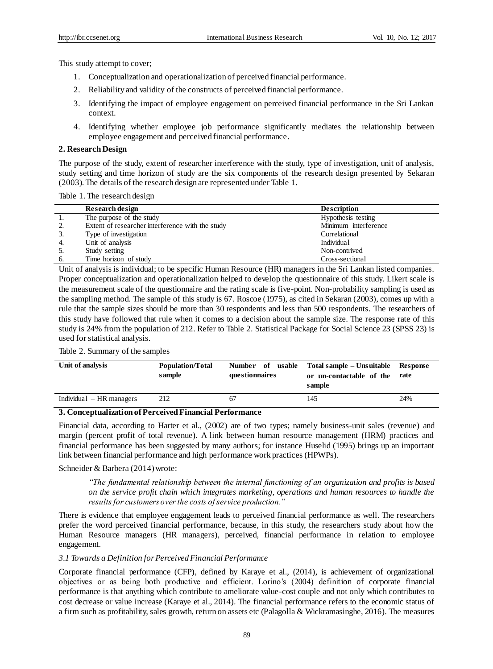This study attempt to cover;

- 1. Conceptualization and operationalization of perceived financial performance.
- 2. Reliability and validity of the constructs of perceived financial performance.
- 3. Identifying the impact of employee engagement on perceived financial performance in the Sri Lankan context.
- 4. Identifying whether employee job performance significantly mediates the relationship between employee engagement and perceived financial performance.

#### **2. Research Design**

The purpose of the study, extent of researcher interference with the study, type of investigation, unit of analysis, study setting and time horizon of study are the six components of the research design presented by Sekaran (2003). The details of the research design are represented under Table 1.

Table 1. The research design

|      | Research design                                  | <b>Description</b>   |
|------|--------------------------------------------------|----------------------|
| 1.   | The purpose of the study                         | Hypothesis testing   |
| 2.   | Extent of researcher interference with the study | Minimum interference |
|      | Type of investigation                            | Correlational        |
| 4.   | Unit of analysis                                 | Individua1           |
| - 5. | Study setting                                    | Non-contrived        |
| 6.   | Time horizon of study                            | Cross-sectional      |

Unit of analysis is individual; to be specific Human Resource (HR) managers in the Sri Lankan listed companies. Proper conceptualization and operationalization helped to develop the questionnaire of this study. Likert scale is the measurement scale of the questionnaire and the rating scale is five-point. Non-probability sampling is used as the sampling method. The sample of this study is 67. Roscoe (1975), as cited in Sekaran (2003), comes up with a rule that the sample sizes should be more than 30 respondents and less than 500 respondents. The researchers of this study have followed that rule when it comes to a decision about the sample size. The response rate of this study is 24% from the population of 212. Refer to Table 2. Statistical Package for Social Science 23 (SPSS 23) is used for statistical analysis.

## Table 2. Summary of the samples

| Unit of analysis           | Population/Total<br>sample | questionnaires | Number of usable Total sample – Unsuitable Response<br>or un-contactable of the<br>sample | rate |
|----------------------------|----------------------------|----------------|-------------------------------------------------------------------------------------------|------|
| Individual $- HR$ managers | 212                        | 67             | 145                                                                                       | 24%  |

#### **3. Conceptualization of Perceived Financial Performance**

Financial data, according to Harter et al., (2002) are of two types; namely business-unit sales (revenue) and margin (percent profit of total revenue). A link between human resource management (HRM) practices and financial performance has been suggested by many authors; for instance Huselid (1995) brings up an important link between financial performance and high performance work practices (HPWPs).

#### Schneider & Barbera (2014) wrote:

*"The fundamental relationship between the internal functioning of an organization and profits is based on the service profit chain which integrates marketing, operations and human resources to handle the results for customers over the costs of service production."*

There is evidence that employee engagement leads to perceived financial performance as well. The researchers prefer the word perceived financial performance, because, in this study, the researchers study about how the Human Resource managers (HR managers), perceived, financial performance in relation to employee engagement.

#### *3.1 Towards a Definition for Perceived Financial Performance*

Corporate financial performance (CFP), defined by Karaye et al., (2014), is achievement of organizational objectives or as being both productive and efficient. Lorino's (2004) definition of corporate financial performance is that anything which contribute to ameliorate value-cost couple and not only which contributes to cost decrease or value increase (Karaye et al., 2014). The financial performance refers to the economic status of a firm such as profitability, sales growth, return on assets etc (Palagolla & Wickramasinghe, 2016). The measures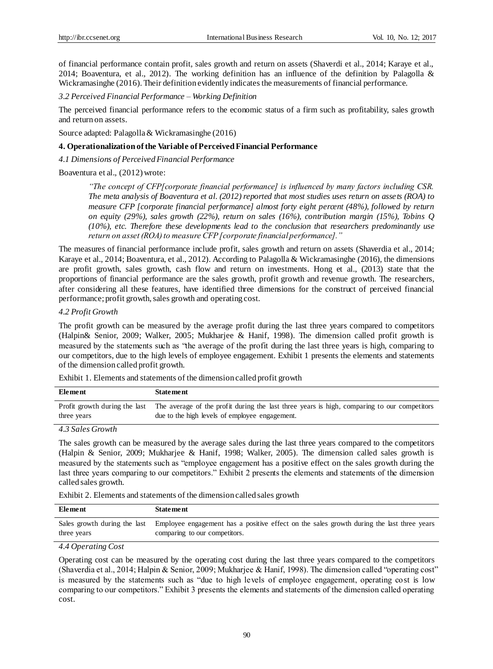of financial performance contain profit, sales growth and return on assets (Shaverdi et al., 2014; Karaye et al., 2014; Boaventura, et al., 2012). The working definition has an influence of the definition by Palagolla  $\&$ Wickramasinghe (2016). Their definition evidently indicates the measurements of financial performance.

*3.2 Perceived Financial Performance – Working Definition*

The perceived financial performance refers to the economic status of a firm such as profitability, sales growth and return on assets.

Source adapted: Palagolla & Wickramasinghe (2016)

#### **4. Operationalization of the Variable of Perceived Financial Performance**

*4.1 Dimensions of Perceived Financial Performance*

Boaventura et al., (2012) wrote:

*"The concept of CFP[corporate financial performance] is influenced by many factors including CSR. The meta analysis of Boaventura et al. (2012) reported that most studies uses return on assets (ROA) to measure CFP [corporate financial performance] almost forty eight percent (48%), followed by return on equity (29%), sales growth (22%), return on sales (16%), contribution margin (15%), Tobins Q (10%), etc. Therefore these developments lead to the conclusion that researchers predominantly use return on asset (ROA) to measure CFP [corporate financial performance]."*

The measures of financial performance include profit, sales growth and return on assets (Shaverdia et al., 2014; Karaye et al., 2014; Boaventura, et al., 2012). According to Palagolla & Wickramasinghe (2016), the dimensions are profit growth, sales growth, cash flow and return on investments. Hong et al., (2013) state that the proportions of financial performance are the sales growth, profit growth and revenue growth. The researchers, after considering all these features, have identified three dimensions for the construct of perceived financial performance; profit growth, sales growth and operating cost.

*4.2 Profit Growth*

The profit growth can be measured by the average profit during the last three years compared to competitors (Halpin& Senior, 2009; Walker, 2005; Mukharjee & Hanif, 1998). The dimension called profit growth is measured by the statements such as "the average of the profit during the last three years is high, comparing to our competitors, due to the high levels of employee engagement. Exhibit 1 presents the elements and statements of the dimension called profit growth.

Exhibit 1. Elements and statements of the dimension called profit growth

| Element                       | <b>Statement</b>                                                                            |
|-------------------------------|---------------------------------------------------------------------------------------------|
| Profit growth during the last | The average of the profit during the last three years is high, comparing to our competitors |
| three years                   | due to the high levels of employee engagement.                                              |

*4.3 Sales Growth*

The sales growth can be measured by the average sales during the last three years compared to the competitors (Halpin & Senior, 2009; Mukharjee & Hanif, 1998; Walker, 2005). The dimension called sales growth is measured by the statements such as "employee engagement has a positive effect on the sales growth during the last three years comparing to our competitors." Exhibit 2 presents the elements and statements of the dimension called sales growth.

Exhibit 2. Elements and statements of the dimension called sales growth

| Element     | <b>Statement</b>                                                                                                       |
|-------------|------------------------------------------------------------------------------------------------------------------------|
|             | Sales growth during the last Employee engagement has a positive effect on the sales growth during the last three years |
| three years | comparing to our competitors.                                                                                          |

## *4.4 Operating Cost*

Operating cost can be measured by the operating cost during the last three years compared to the competitors (Shaverdia et al., 2014; Halpin & Senior, 2009; Mukharjee & Hanif, 1998). The dimension called "operating cost" is measured by the statements such as "due to high levels of employee engagement, operating cost is low comparing to our competitors." Exhibit 3 presents the elements and statements of the dimension called operating cost.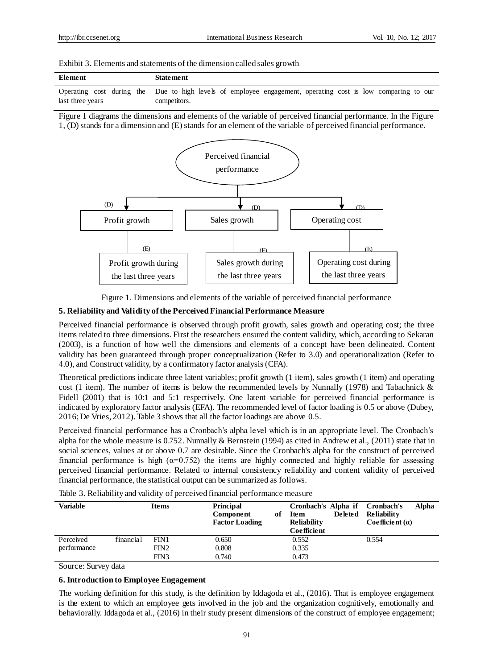| Exhibit 3. Elements and statements of the dimension called sales growth |  |  |  |
|-------------------------------------------------------------------------|--|--|--|
|-------------------------------------------------------------------------|--|--|--|

| Element          | <b>Statement</b>                                                                                            |
|------------------|-------------------------------------------------------------------------------------------------------------|
|                  | Operating cost during the Due to high levels of employee engagement, operating cost is low comparing to our |
| last three years | competitors.                                                                                                |

Figure 1 diagrams the dimensions and elements of the variable of perceived financial performance. In the Figure 1, (D) stands for a dimension and (E) stands for an element of the variable of perceived financial performance.



Figure 1. Dimensions and elements of the variable of perceived financial performance

#### **5. Reliability and Validity of the Perceived Financial Performance Measure**

Perceived financial performance is observed through profit growth, sales growth and operating cost; the three items related to three dimensions. First the researchers ensured the content validity, which, according to Sekaran (2003), is a function of how well the dimensions and elements of a concept have been delineated. Content validity has been guaranteed through proper conceptualization (Refer to 3.0) and operationalization (Refer to 4.0), and Construct validity, by a confirmatory factor analysis (CFA).

Theoretical predictions indicate three latent variables; profit growth (1 item), sales growth (1 item) and operating cost (1 item). The number of items is below the recommended levels by Nunnally (1978) and Tabachnick & Fidell (2001) that is 10:1 and 5:1 respectively. One latent variable for perceived financial performance is indicated by exploratory factor analysis (EFA). The recommended level of factor loading is 0.5 or above (Dubey, 2016; De Vries, 2012). Table 3 shows that all the factor loadings are above 0.5.

Perceived financial performance has a Cronbach's alpha level which is in an appropriate level. The Cronbach's alpha for the whole measure is 0.752. Nunnally & Bernstein (1994) as cited in Andrew et al., (2011) state that in social sciences, values at or above 0.7 are desirable. Since the Cronbach's alpha for the construct of perceived financial performance is high  $(\alpha=0.752)$  the items are highly connected and highly reliable for assessing perceived financial performance. Related to internal consistency reliability and content validity of perceived financial performance, the statistical output can be summarized as follows.

| Variable         |           | Items            | Principal<br>Component<br><b>Factor Loading</b> | of Item<br><b>Reliability</b><br>Coefficient | <b>Deleted</b> | Cronbach's Alpha if Cronbach's<br><b>Reliability</b><br>$Coefficient(\alpha)$ | Alpha |
|------------------|-----------|------------------|-------------------------------------------------|----------------------------------------------|----------------|-------------------------------------------------------------------------------|-------|
| Perceived        | financial | FIN1             | 0.650                                           | 0.552                                        |                | 0.554                                                                         |       |
| performance      |           | FIN <sub>2</sub> | 0.808                                           | 0.335                                        |                |                                                                               |       |
|                  |           | FIN3             | 0.740                                           | 0.473                                        |                |                                                                               |       |
| $\sim$<br>$\sim$ |           |                  |                                                 |                                              |                |                                                                               |       |

Table 3. Reliability and validity of perceived financial performance measure

Source: Survey data

#### **6. Introduction to Employee Engagement**

The working definition for this study, is the definition by Iddagoda et al., (2016). That is employee engagement is the extent to which an employee gets involved in the job and the organization cognitively, emotionally and behaviorally. Iddagoda et al., (2016) in their study present dimensions of the construct of employee engagement;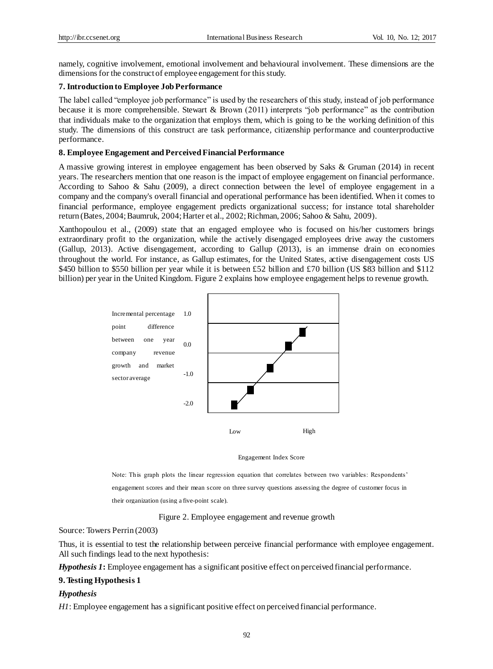namely, cognitive involvement, emotional involvement and behavioural involvement. These dimensions are the dimensions for the construct of employee engagement for this study.

## **7. Introduction to Employee Job Performance**

The label called "employee job performance" is used by the researchers of this study, instead of job performance because it is more comprehensible. Stewart & Brown (2011) interprets "job performance" as the contribution that individuals make to the organization that employs them, which is going to be the working definition of this study. The dimensions of this construct are task performance, citizenship performance and counterproductive performance.

#### **8. Employee Engagement and Perceived Financial Performance**

A massive growing interest in employee engagement has been observed by Saks & Gruman (2014) in recent years. The researchers mention that one reason is the impact of employee engagement on financial performance. According to Sahoo & Sahu (2009), a direct connection between the level of employee engagement in a company and the company's overall financial and operational performance has been identified. When it comes to financial performance, employee engagement predicts organizational success; for instance total shareholder return (Bates, 2004; Baumruk, 2004; Harter et al., 2002; Richman, 2006; Sahoo & Sahu, 2009).

Xanthopoulou et al., (2009) state that an engaged employee who is focused on his/her customers brings extraordinary profit to the organization, while the actively disengaged employees drive away the customers (Gallup, 2013). Active disengagement, according to Gallup (2013), is an immense drain on economies throughout the world. For instance, as Gallup estimates, for the United States, active disengagement costs US \$450 billion to \$550 billion per year while it is between £52 billion and £70 billion (US \$83 billion and \$112 billion) per year in the United Kingdom. Figure 2 explains how employee engagement helps to revenue growth.



#### Engagement Index Score

Note: This graph plots the linear regression equation that correlates between two variables: Respondents' engagement scores and their mean score on three survey questions assessing the degree of customer focus in their organization (using a five-point scale).

Figure 2. Employee engagement and revenue growth

Source: Towers Perrin (2003)

Thus, it is essential to test the relationship between perceive financial performance with employee engagement. All such findings lead to the next hypothesis:

*Hypothesis 1***:** Employee engagement has a significant positive effect on perceived financial performance.

#### **9.Testing Hypothesis 1**

#### *Hypothesis*

*H1*: Employee engagement has a significant positive effect on perceived financial performance.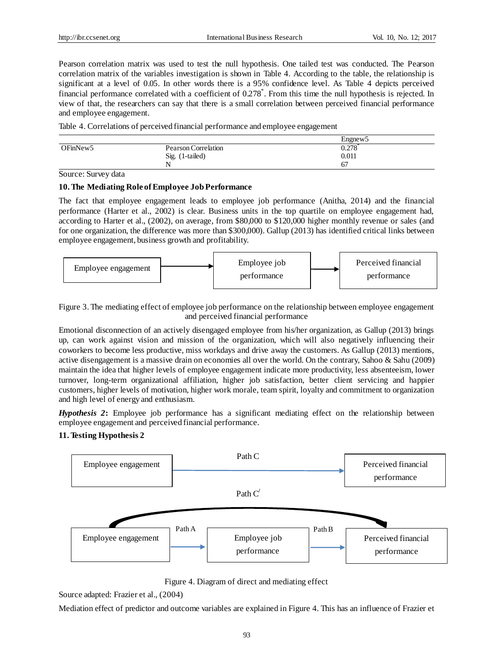Pearson correlation matrix was used to test the null hypothesis. One tailed test was conducted. The Pearson correlation matrix of the variables investigation is shown in Table 4. According to the table, the relationship is significant at a level of 0.05. In other words there is a 95% confidence level. As Table 4 depicts perceived financial performance correlated with a coefficient of 0.278<sup>\*</sup>. From this time the null hypothesis is rejected. In view of that, the researchers can say that there is a small correlation between perceived financial performance and employee engagement.

Table 4. Correlations of perceived financial performance and employee engagement

|                      |                     | Engnew <sub>5</sub> |
|----------------------|---------------------|---------------------|
| OFinNew <sub>5</sub> | Pearson Correlation | 0.278               |
|                      | Sig. (1-tailed)     | 0.011               |
|                      |                     | 67                  |

Source: Survey data

## **10.The Mediating Role ofEmployee Job Performance**

The fact that employee engagement leads to employee job performance (Anitha, 2014) and the financial performance (Harter et al., 2002) is clear. Business units in the top quartile on employee engagement had, according to Harter et al., (2002), on average, from \$80,000 to \$120,000 higher monthly revenue or sales (and for one organization, the difference was more than \$300,000). Gallup (2013) has identified critical links between employee engagement, business growth and profitability.



Figure 3. The mediating effect of employee job performance on the relationship between employee engagement and perceived financial performance

Emotional disconnection of an actively disengaged employee from his/her organization, as Gallup (2013) brings up, can work against vision and mission of the organization, which will also negatively influencing their coworkers to become less productive, miss workdays and drive away the customers. As Gallup (2013) mentions, active disengagement is a massive drain on economies all over the world. On the contrary, Sahoo & Sahu (2009) maintain the idea that higher levels of employee engagement indicate more productivity, less absenteeism, lower turnover, long-term organizational affiliation, higher job satisfaction, better client servicing and happier customers, higher levels of motivation, higher work morale, team spirit, loyalty and commitment to organization and high level of energy and enthusiasm.

*Hypothesis 2***:** Employee job performance has a significant mediating effect on the relationship between employee engagement and perceived financial performance.

# **11.Testing Hypothesis 2**



Figure 4. Diagram of direct and mediating effect

Source adapted: Frazier et al., (2004)

Mediation effect of predictor and outcome variables are explained in Figure 4. This has an influence of Frazier et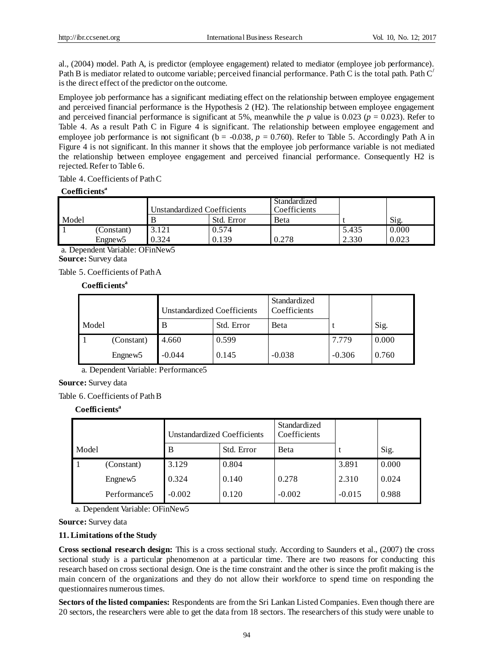al., (2004) model. Path A, is predictor (employee engagement) related to mediator (employee job performance). Path B is mediator related to outcome variable; perceived financial performance. Path C is the total path. Path C**/** is the direct effect of the predictor on the outcome.

Employee job performance has a significant mediating effect on the relationship between employee engagement and perceived financial performance is the Hypothesis 2 (H2). The relationship between employee engagement and perceived financial performance is significant at 5%, meanwhile the *p* value is 0.023 ( $p = 0.023$ ). Refer to Table 4. As a result Path C in Figure 4 is significant. The relationship between employee engagement and employee job performance is not significant ( $b = -0.038$ ,  $p = 0.760$ ). Refer to Table 5. Accordingly Path A in Figure 4 is not significant. In this manner it shows that the employee job performance variable is not mediated the relationship between employee engagement and perceived financial performance. Consequently H2 is rejected. Refer to Table 6.

Table 4. Coefficients of Path C

## **Coefficients<sup>a</sup>**

|       |                                 | Unstandardized Coefficients |            | Standardized<br>Coefficients |       |       |  |  |  |
|-------|---------------------------------|-----------------------------|------------|------------------------------|-------|-------|--|--|--|
| Model |                                 |                             | Std. Error | Beta                         |       | Sig.  |  |  |  |
|       | (Constant)                      | 3.121                       | 0.574      |                              | 5.435 | 0.000 |  |  |  |
|       | Engnew <sub>5</sub>             | 0.324                       | 0.139      | 0.278                        | 2.330 | 0.023 |  |  |  |
|       | a. Dependent Variable: OFinNew5 |                             |            |                              |       |       |  |  |  |

**Source:** Survey data

Table 5. Coefficients of Path A

**Coefficients<sup>a</sup>**

|       |                     | Unstandardized Coefficients |            | Standardized<br>Coefficients |          |       |
|-------|---------------------|-----------------------------|------------|------------------------------|----------|-------|
| Model |                     | B                           | Std. Error | Beta                         |          | Sig.  |
|       | (Constant)          | 4.660                       | 0.599      |                              | 7.779    | 0.000 |
|       | Engnew <sub>5</sub> | $-0.044$                    | 0.145      | $-0.038$                     | $-0.306$ | 0.760 |

a. Dependent Variable: Performance5

**Source:** Survey data

Table 6. Coefficients of Path B

**Coefficients<sup>a</sup>**

|       |                          | Unstandardized Coefficients |            | Standardized<br>Coefficients |          |       |
|-------|--------------------------|-----------------------------|------------|------------------------------|----------|-------|
| Model |                          | B                           | Std. Error | Beta                         |          | Sig.  |
|       | (Constant)               | 3.129                       | 0.804      |                              | 3.891    | 0.000 |
|       | Engnew <sub>5</sub>      | 0.324                       | 0.140      | 0.278                        | 2.310    | 0.024 |
|       | Performance <sub>5</sub> | $-0.002$                    | 0.120      | $-0.002$                     | $-0.015$ | 0.988 |

a. Dependent Variable: OFinNew5

**Source:** Survey data

# **11.Limitations of the Study**

**Cross sectional research design:** This is a cross sectional study. According to Saunders et al., (2007) the cross sectional study is a particular phenomenon at a particular time. There are two reasons for conducting this research based on cross sectional design. One is the time constraint and the other is since the profit making is the main concern of the organizations and they do not allow their workforce to spend time on responding the questionnaires numerous times.

**Sectors of the listed companies:** Respondents are from the Sri Lankan Listed Companies. Even though there are 20 sectors, the researchers were able to get the data from 18 sectors. The researchers of this study were unable to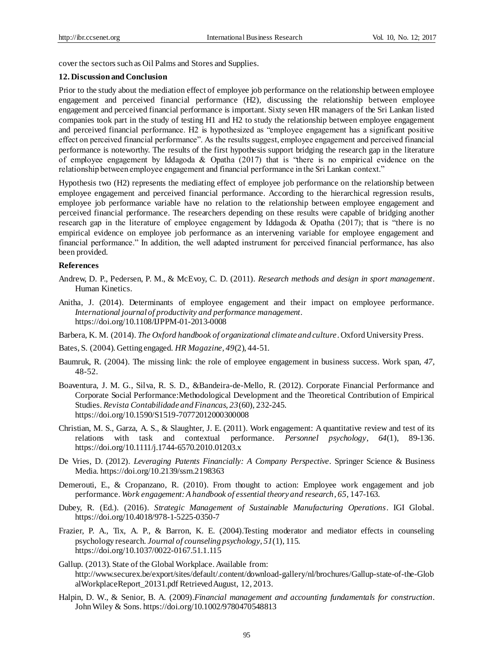cover the sectors such as Oil Palms and Stores and Supplies.

#### **12. Discussion and Conclusion**

Prior to the study about the mediation effect of employee job performance on the relationship between employee engagement and perceived financial performance (H2), discussing the relationship between employee engagement and perceived financial performance is important. Sixty seven HR managers of the Sri Lankan listed companies took part in the study of testing H1 and H2 to study the relationship between employee engagement and perceived financial performance. H2 is hypothesized as "employee engagement has a significant positive effect on perceived financial performance". As the results suggest, employee engagement and perceived financial performance is noteworthy. The results of the first hypothesis support bridging the research gap in the literature of employee engagement by Iddagoda & Opatha (2017) that is "there is no empirical evidence on the relationship between employee engagement and financial performance in the Sri Lankan context."

Hypothesis two (H2) represents the mediating effect of employee job performance on the relationship between employee engagement and perceived financial performance. According to the hierarchical regression results, employee job performance variable have no relation to the relationship between employee engagement and perceived financial performance. The researchers depending on these results were capable of bridging another research gap in the literature of employee engagement by Iddagoda & Opatha (2017); that is "there is no empirical evidence on employee job performance as an intervening variable for employee engagement and financial performance." In addition, the well adapted instrument for perceived financial performance, has also been provided.

#### **References**

- Andrew, D. P., Pedersen, P. M., & McEvoy, C. D. (2011). *Research methods and design in sport management*. Human Kinetics.
- Anitha, J. (2014). Determinants of employee engagement and their impact on employee performance. *International journal of productivity and performance management*. https://doi.org/10.1108/IJPPM-01-2013-0008
- Barbera, K. M. (2014). *The Oxford handbook of organizational climate and culture*. Oxford University Press.
- Bates, S. (2004). Getting engaged. *HR Magazine, 49*(2), 44-51.
- Baumruk, R. (2004). The missing link: the role of employee engagement in business success. Work span, *47,*  48-52.
- Boaventura, J. M. G., Silva, R. S. D., &Bandeira-de-Mello, R. (2012). Corporate Financial Performance and Corporate Social Performance:Methodological Development and the Theoretical Contribution of Empirical Studies. *Revista Contabilidade and Financas, 23*(60), 232-245. https://doi.org/10.1590/S1519-70772012000300008
- Christian, M. S., Garza, A. S., & Slaughter, J. E. (2011). Work engagement: A quantitative review and test of its relations with task and contextual performance. *Personnel psychology*, *64*(1), 89-136. https://doi.org/10.1111/j.1744-6570.2010.01203.x
- De Vries, D. (2012). *Leveraging Patents Financially: A Company Perspective*. Springer Science & Business Media. https://doi.org/10.2139/ssrn.2198363
- Demerouti, E., & Cropanzano, R. (2010). From thought to action: Employee work engagement and job performance. *Work engagement: A handbook of essential theory and research*, *65,* 147-163.
- Dubey, R. (Ed.). (2016). *Strategic Management of Sustainable Manufacturing Operations*. IGI Global. https://doi.org/10.4018/978-1-5225-0350-7
- Frazier, P. A., Tix, A. P., & Barron, K. E. (2004).Testing moderator and mediator effects in counseling psychology research. *Journal of counseling psychology*, *51*(1), 115. https://doi.org/10.1037/0022-0167.51.1.115
- Gallup. (2013). State of the Global Workplace. Available from: http://www.securex.be/export/sites/default/.content/download-gallery/nl/brochures/Gallup-state-of-the-Glob alWorkplaceReport\_20131.pdf Retrieved August, 12, 2013.
- Halpin, D. W., & Senior, B. A. (2009).*Financial management and accounting fundamentals for construction*. John Wiley & Sons. https://doi.org/10.1002/9780470548813